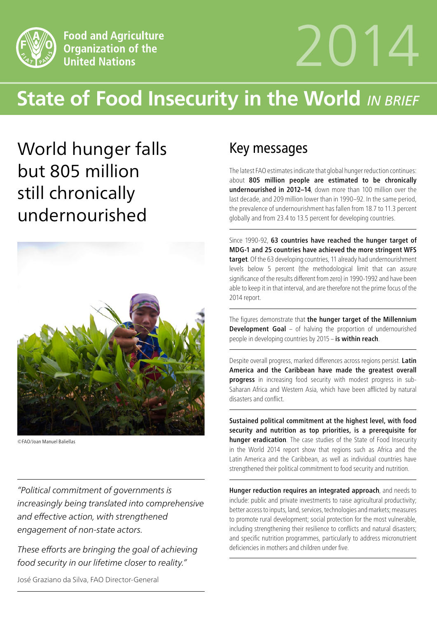

# 2014

# **State of Food Insecurity in the World** *IN BRIEF*

World hunger falls but 805 million still chronically undernourished



©FAO/Joan Manuel Baliellas

*"Political commitment of governments is increasingly being translated into comprehensive and effective action, with strengthened engagement of non-state actors.* 

*These efforts are bringing the goal of achieving food security in our lifetime closer to reality."*

José Graziano da Silva, FAO Director-General

## Key messages

The latest FAO estimates indicate that global hunger reduction continues: about 805 million people are estimated to be chronically undernourished in 2012–14, down more than 100 million over the last decade, and 209 million lower than in 1990–92. In the same period, the prevalence of undernourishment has fallen from 18.7 to 11.3 percent globally and from 23.4 to 13.5 percent for developing countries.

Since 1990-92, 63 countries have reached the hunger target of MDG-1 and 25 countries have achieved the more stringent WFS target. Of the 63 developing countries, 11 already had undernourishment levels below 5 percent (the methodological limit that can assure significance of the results different from zero) in 1990-1992 and have been able to keep it in that interval, and are therefore not the prime focus of the 2014 report.

The figures demonstrate that the hunger target of the Millennium **Development Goal** – of halving the proportion of undernourished people in developing countries by 2015 – is within reach.

Despite overall progress, marked differences across regions persist. Latin America and the Caribbean have made the greatest overall progress in increasing food security with modest progress in sub-Saharan Africa and Western Asia, which have been afflicted by natural disasters and conflict.

Sustained political commitment at the highest level, with food security and nutrition as top priorities, is a prerequisite for hunger eradication. The case studies of the State of Food Insecurity in the World 2014 report show that regions such as Africa and the Latin America and the Caribbean, as well as individual countries have strengthened their political commitment to food security and nutrition.

Hunger reduction requires an integrated approach, and needs to include: public and private investments to raise agricultural productivity; better access to inputs, land, services, technologies and markets; measures to promote rural development; social protection for the most vulnerable, including strengthening their resilience to conflicts and natural disasters; and specific nutrition programmes, particularly to address micronutrient deficiencies in mothers and children under five.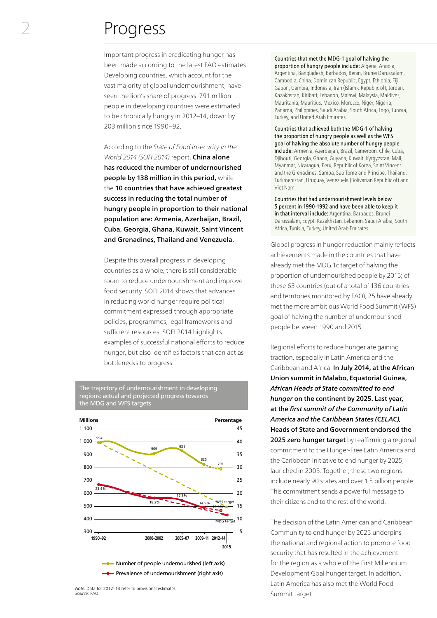### Progress

Important progress in eradicating hunger has been made according to the latest FAO estimates. Developing countries, which account for the vast majority of global undernourishment, have seen the lion's share of progress: 791 million people in developing countries were estimated to be chronically hungry in 2012–14, down by 203 million since 1990–92.

According to the *State of Food Insecurity in the World 2014 (SOFI 2014)* report, China alone has reduced the number of undernourished people by 138 million in this period, while the 10 countries that have achieved greatest success in reducing the total number of hungry people in proportion to their national population are: Armenia, Azerbaijan, Brazil, Cuba, Georgia, Ghana, Kuwait, Saint Vincent and Grenadines, Thailand and Venezuela.

Despite this overall progress in developing countries as a whole, there is still considerable room to reduce undernourishment and improve food security. SOFI 2014 shows that advances in reducing world hunger require political commitment expressed through appropriate policies, programmes, legal frameworks and sufficient resources. SOFI 2014 highlights examples of successful national efforts to reduce hunger, but also identifies factors that can act as bottlenecks to progress.

The trajectory of undernourishment in developing regions: actual and projected progress towards the MDG and WFS targets



*Note:* Data for 2012–14 refer to provisional estimates. *Source:* FAO.

Countries that met the MDG-1 goal of halving the proportion of hungry people include: Algeria, Angola, Argentina, Bangladesh, Barbados, Benin, Brunei Darussalam, Cambodia, China, Dominican Republic, Egypt, Ethiopia, Fiji, Gabon, Gambia, Indonesia, Iran (Islamic Republic of), Jordan, Kazakhstan, Kiribati, Lebanon, Malawi, Malaysia, Maldives, Mauritania, Mauritius, Mexico, Morocco, Niger, Nigeria, Panama, Philippines, Saudi Arabia, South Africa, Togo, Tunisia, Turkey, and United Arab Emirates.

Countries that achieved both the MDG-1 of halving the proportion of hungry people as well as the WFS goal of halving the absolute number of hungry people include: Armenia, Azerbaijan, Brazil, Cameroon, Chile, Cuba, Djibouti, Georgia, Ghana, Guyana, Kuwait, Kyrgyzstan, Mali, Myanmar, Nicaragua, Peru, Republic of Korea, Saint Vincent and the Grenadines, Samoa, Sao Tome and Principe, Thailand, Turkmenistan, Uruguay, Venezuela (Bolivarian Republic of) and Viet Nam.

Countries that had undernourishment levels below 5 percent in 1990-1992 and have been able to keep it in that interval include: Argentina, Barbados, Brunei Darussalam, Egypt, Kazakhstan, Lebanon, Saudi Arabia, South Africa, Tunisia, Turkey, United Arab Emirates

Global progress in hunger reduction mainly reflects achievements made in the countries that have already met the MDG 1c target of halving the proportion of undernourished people by 2015; of these 63 countries (out of a total of 136 countries and territories monitored by FAO), 25 have already met the more ambitious World Food Summit (WFS) goal of halving the number of undernourished people between 1990 and 2015.

Regional efforts to reduce hunger are gaining traction, especially in Latin America and the Caribbean and Africa. In July 2014, at the African Union summit in Malabo, Equatorial Guinea, *African Heads of State committed to end hunger* on the continent by 2025. Last year, at the *first summit of the Community of Latin America and the Caribbean States (CELAC),* Heads of State and Government endorsed the 2025 zero hunger target by reaffirming a regional commitment to the Hunger-Free Latin America and the Caribbean Initiative to end hunger by 2025, launched in 2005. Together, these two regions include nearly 90 states and over 1.5 billion people. This commitment sends a powerful message to their citizens and to the rest of the world.

The decision of the Latin American and Caribbean Community to end hunger by 2025 underpins the national and regional action to promote food security that has resulted in the achievement for the region as a whole of the First Millennium Development Goal hunger target. In addition, Latin America has also met the World Food Summit target.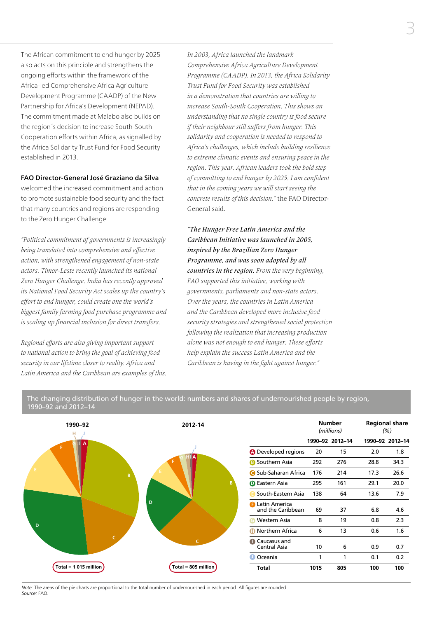The African commitment to end hunger by 2025 also acts on this principle and strengthens the ongoing efforts within the framework of the Africa-led Comprehensive Africa Agriculture Development Programme (CAADP) of the New Partnership for Africa's Development (NEPAD). The commitment made at Malabo also builds on the region´s decision to increase South-South Cooperation efforts within Africa, as signalled by the Africa Solidarity Trust Fund for Food Security established in 2013.

#### FAO Director-General José Graziano da Silva

welcomed the increased commitment and action to promote sustainable food security and the fact that many countries and regions are responding to the Zero Hunger Challenge:

*"Political commitment of governments is increasingly being translated into comprehensive and effective action, with strengthened engagement of non-state actors. Timor-Leste recently launched its national Zero Hunger Challenge. India has recently approved its National Food Security Act scales up the country's effort to end hunger, could create one the world's biggest family farming food purchase programme and is scaling up financial inclusion for direct transfers.*

*Regional efforts are also giving important support to national action to bring the goal of achieving food security in our lifetime closer to reality. Africa and Latin America and the Caribbean are examples of this.* *In 2003, Africa launched the landmark Comprehensive Africa Agriculture Development Programme (CAADP). In 2013, the Africa Solidarity Trust Fund for Food Security was established in a demonstration that countries are willing to increase South-South Cooperation. This shows an understanding that no single country is food secure if their neighbour still suffers from hunger. This solidarity and cooperation is needed to respond to Africa's challenges, which include building resilience to extreme climatic events and ensuring peace in the region. This year, African leaders took the bold step of committing to end hunger by 2025. I am confident that in the coming years we will start seeing the concrete results of this decision,"* the FAO Director-General said.

*"The Hunger Free Latin America and the Caribbean Initiative was launched in 2005, inspired by the Brazilian Zero Hunger Programme, and was soon adopted by all countries in the region. From the very beginning, FAO supported this initiative, working with governments, parliaments and non-state actors. Over the years, the countries in Latin America and the Caribbean developed more inclusive food security strategies and strengthened social protection following the realization that increasing production alone was not enough to end hunger. These efforts help explain the success Latin America and the Caribbean is having in the fight against hunger."*

| 1990-92<br>н             | 2012-14               |                                             |      | <b>Number</b><br>(millions) |      | <b>Regional share</b><br>$(\% )$ |
|--------------------------|-----------------------|---------------------------------------------|------|-----------------------------|------|----------------------------------|
| F.<br>E.<br>B<br>D<br>C. |                       |                                             |      | 1990-92 2012-14             |      | 1990-92 2012-14                  |
|                          |                       | <b>A</b> Developed regions                  | 20   | 15                          | 2.0  | 1.8                              |
|                          |                       | <b>B</b> Southern Asia                      | 292  | 276                         | 28.8 | 34.3                             |
|                          |                       | <b>G</b> Sub-Saharan Africa                 | 176  | 214                         | 17.3 | 26.6                             |
|                          | B                     | <b>D</b> Eastern Asia                       | 295  | 161                         | 29.1 | 20.0                             |
|                          |                       | South-Eastern Asia                          | 138  | 64                          | 13.6 | 7.9                              |
|                          | D                     | <b>B</b> Latin America<br>and the Caribbean | 69   | 37                          | 6.8  | 4.6                              |
|                          |                       | Western Asia<br>G                           | 8    | 19                          | 0.8  | 2.3                              |
|                          |                       | Northern Africa                             | 6    | 13                          | 0.6  | 1.6                              |
|                          |                       | Caucasus and<br>Central Asia                | 10   | 6                           | 0.9  | 0.7                              |
|                          |                       | <b>O</b> Oceania                            | 1    | 1                           | 0.1  | 0.2                              |
| Total = $1015$ million   | Total = $805$ million | <b>Total</b>                                | 1015 | 805                         | 100  | 100                              |

The changing distribution of hunger in the world: numbers and shares of undernourished people by region, 1990–92 and 2012–14

*Note:* The areas of the pie charts are proportional to the total number of undernourished in each period. All figures are rounded. *Source:* FAO.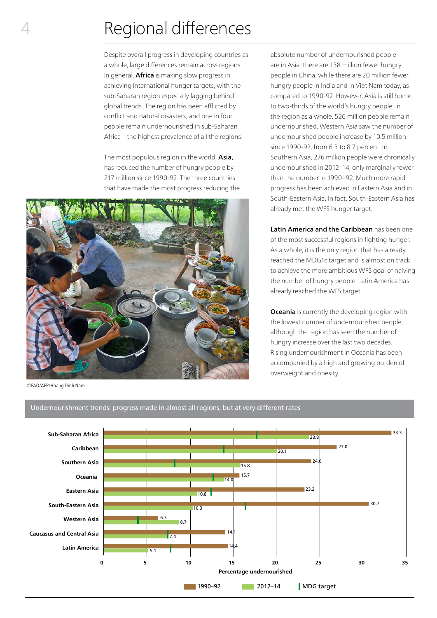# Regional differences

Despite overall progress in developing countries as a whole, large differences remain across regions. In general, **Africa** is making slow progress in achieving international hunger targets, with the sub-Saharan region especially lagging behind global trends. The region has been afflicted by conflict and natural disasters, and one in four people remain undernourished in sub-Saharan Africa – the highest prevalence of all the regions.

The most populous region in the world, Asia, has reduced the number of hungry people by 217 million since 1990-92. The three countries that have made the most progress reducing the



©FAO/AFP/Hoang Dinh Nam

4

absolute number of undernourished people are in Asia: there are 138 million fewer hungry people in China, while there are 20 million fewer hungry people in India and in Viet Nam today, as compared to 1990-92. However, Asia is still home to two-thirds of the world's hungry people: in the region as a whole, 526 million people remain undernourished. Western Asia saw the number of undernourished people increase by 10.5 million since 1990-92, from 6.3 to 8.7 percent. In Southern Asia, 276 million people were chronically undernourished in 2012–14, only marginally fewer than the number in 1990–92. Much more rapid progress has been achieved in Eastern Asia and in South-Eastern Asia. In fact, South-Eastern Asia has already met the WFS hunger target.

Latin America and the Caribbean has been one of the most successful regions in fighting hunger. As a whole, it is the only region that has already reached the MDG1c target and is almost on track to achieve the more ambitious WFS goal of halving the number of hungry people. Latin America has already reached the WFS target.

**Oceania** is currently the developing region with the lowest number of undernourished people, although the region has seen the number of hungry increase over the last two decades. Rising undernourishment in Oceania has been accompanied by a high and growing burden of overweight and obesity.

#### Undernourishment trends: progress made in almost all regions, but at very different rates

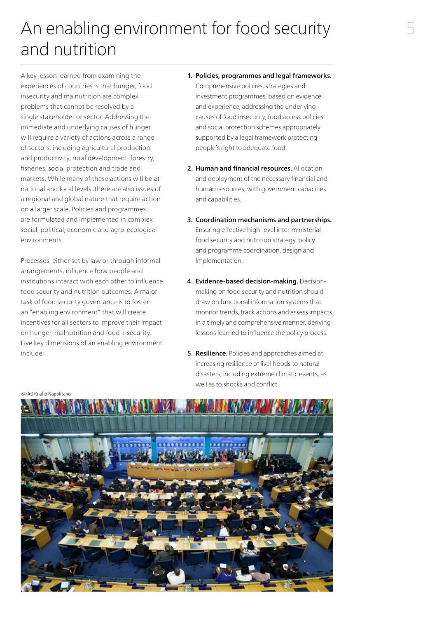# An enabling environment for food security and nutrition

A key lesson learned from examining the experiences of countries is that hunger, food insecurity and malnutrition are complex problems that cannot be resolved by a single stakeholder or sector. Addressing the immediate and underlying causes of hunger will require a variety of actions across a range of sectors, including agricultural production and productivity, rural development, forestry, fisheries, social protection and trade and markets. While many of these actions will be at national and local levels, there are also issues of a regional and global nature that require action on a larger scale. Policies and programmes are formulated and implemented in complex social, political, economic and agro-ecological environments.

Processes, either set by law or through informal arrangements, influence how people and institutions interact with each other to influence food security and nutrition outcomes. A major task of food security governance is to foster an "enabling environment" that will create incentives for all sectors to improve their impact on hunger, malnutrition and food insecurity. Five key dimensions of an enabling environment include:

- 1. Policies, programmes and legal frameworks. Comprehensive policies, strategies and investment programmes, based on evidence and experience, addressing the underlying causes of food insecurity, food access policies and social protection schemes appropriately supported by a legal framework protecting people's right to adequate food.
- 2. Human and financial resources. Allocation and deployment of the necessary financial and human resources, with government capacities and capabilities.
- 3. Coordination mechanisms and partnerships. Ensuring effective high-level inter-ministerial food security and nutrition strategy, policy and programme coordination, design and implementation.
- 4. Evidence-based decision-making. Decisionmaking on food security and nutrition should draw on functional information systems that monitor trends, track actions and assess impacts in a timely and comprehensive manner, deriving lessons learned to influence the policy process.
- **5. Resilience.** Policies and approaches aimed at increasing resilience of livelihoods to natural disasters, including extreme climatic events, as well as to shocks and conflict.

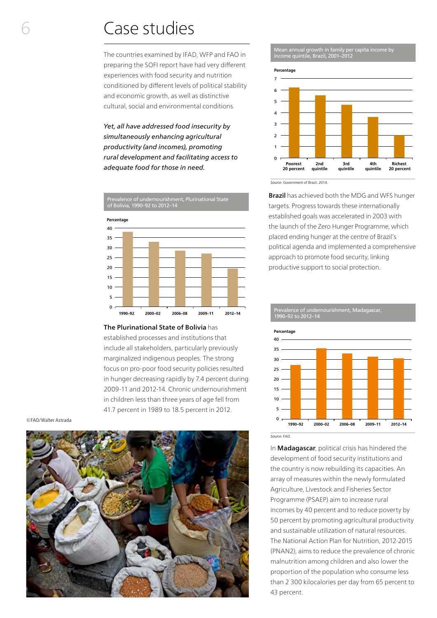## Case studies

The countries examined by IFAD, WFP and FAO in preparing the SOFI report have had very different experiences with food security and nutrition conditioned by different levels of political stability and economic growth, as well as distinctive cultural, social and environmental conditions.

*Yet, all have addressed food insecurity by simultaneously enhancing agricultural productivity (and incomes), promoting rural development and facilitating access to adequate food for those in need.*



#### The Plurinational State of Bolivia has

established processes and institutions that include all stakeholders, particularly previously marginalized indigenous peoples. The strong focus on pro-poor food security policies resulted in hunger decreasing rapidly by 7.4 percent during 2009-11 and 2012-14. Chronic undernourishment in children less than three years of age fell from 41.7 percent in 1989 to 18.5 percent in 2012.

©FAO/Walter Astrada



Mean annual growth in family per capita income by income quintile, Brazil, 2001–2012



*Source:* Government of Brazil, 2014.

1990–92 to 2012–14

**Brazil** has achieved both the MDG and WFS hunger targets. Progress towards these internationally established goals was accelerated in 2003 with the launch of the Zero Hunger Programme, which placed ending hunger at the centre of Brazil's political agenda and implemented a comprehensive approach to promote food security, linking productive support to social protection.

0 5 10 15 20 25 30 35 40 **1990–92 2000–02 2006–08 2009–11 2012–14 Percentage** 

Prevalence of undernourishment, Madagascar,

*Source:* FAO.

In **Madagascar**, political crisis has hindered the development of food security institutions and the country is now rebuilding its capacities. An array of measures within the newly formulated Agriculture, Livestock and Fisheries Sector Programme (PSAEP) aim to increase rural incomes by 40 percent and to reduce poverty by 50 percent by promoting agricultural productivity and sustainable utilization of natural resources. The National Action Plan for Nutrition, 2012-2015 (PNAN2), aims to reduce the prevalence of chronic malnutrition among children and also lower the proportion of the population who consume less than 2 300 kilocalories per day from 65 percent to 43 percent.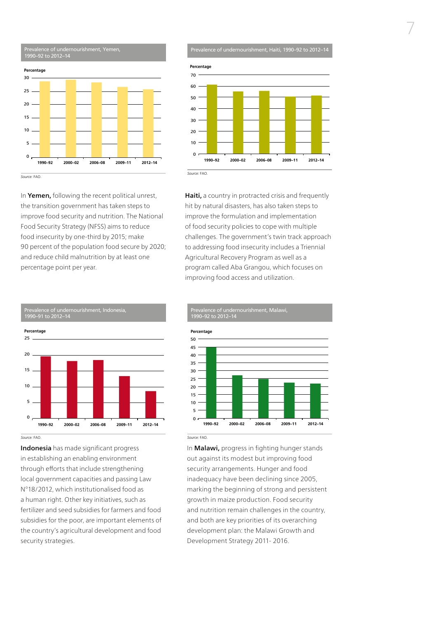

Prevalence of undernourishment, Haiti, 1990–92 to 2012–14



In Yemen, following the recent political unrest, the transition government has taken steps to improve food security and nutrition. The National Food Security Strategy (NFSS) aims to reduce food insecurity by one-third by 2015; make 90 percent of the population food secure by 2020; and reduce child malnutrition by at least one percentage point per year.

Haiti, a country in protracted crisis and frequently hit by natural disasters, has also taken steps to improve the formulation and implementation of food security policies to cope with multiple challenges. The government's twin track approach to addressing food insecurity includes a Triennial Agricultural Recovery Program as well as a program called Aba Grangou, which focuses on improving food access and utilization.



Prevalence of undernourishment, Malawi, 1990–92 to 2012–14



*Source:* FAO.

Indonesia has made significant progress in establishing an enabling environment through efforts that include strengthening local government capacities and passing Law N°18/2012, which institutionalised food as a human right. Other key initiatives, such as fertilizer and seed subsidies for farmers and food subsidies for the poor, are important elements of the country's agricultural development and food security strategies.

In Malawi, progress in fighting hunger stands out against its modest but improving food security arrangements. Hunger and food inadequacy have been declining since 2005, marking the beginning of strong and persistent growth in maize production. Food security and nutrition remain challenges in the country, and both are key priorities of its overarching development plan: the Malawi Growth and Development Strategy 2011- 2016.